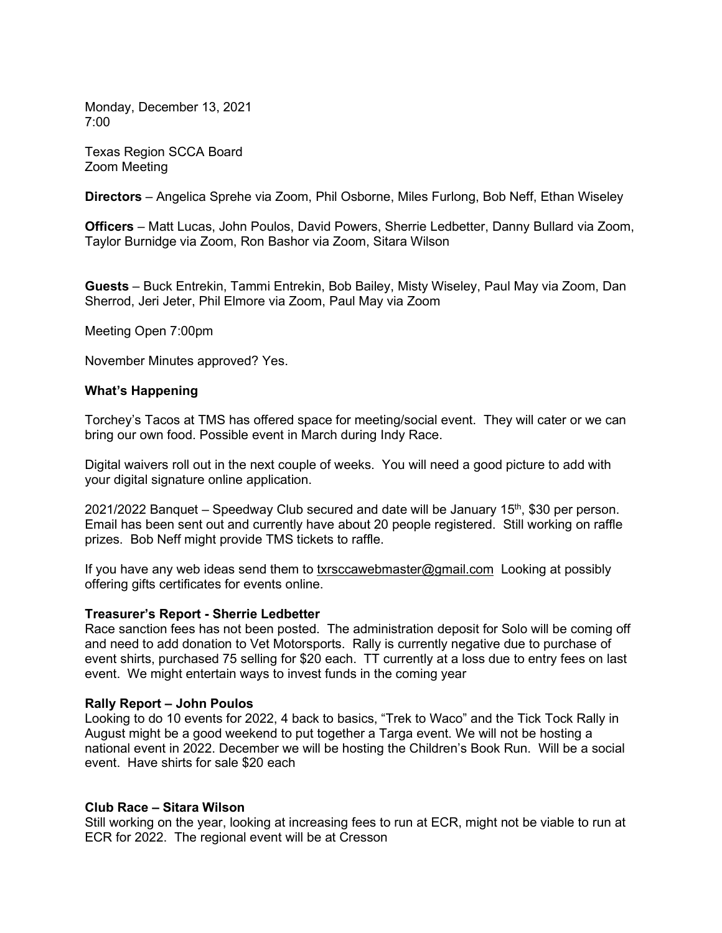Monday, December 13, 2021 7:00

Texas Region SCCA Board Zoom Meeting

Directors – Angelica Sprehe via Zoom, Phil Osborne, Miles Furlong, Bob Neff, Ethan Wiseley

Officers – Matt Lucas, John Poulos, David Powers, Sherrie Ledbetter, Danny Bullard via Zoom, Taylor Burnidge via Zoom, Ron Bashor via Zoom, Sitara Wilson

Guests – Buck Entrekin, Tammi Entrekin, Bob Bailey, Misty Wiseley, Paul May via Zoom, Dan Sherrod, Jeri Jeter, Phil Elmore via Zoom, Paul May via Zoom

Meeting Open 7:00pm

November Minutes approved? Yes.

# What's Happening

Torchey's Tacos at TMS has offered space for meeting/social event. They will cater or we can bring our own food. Possible event in March during Indy Race.

Digital waivers roll out in the next couple of weeks. You will need a good picture to add with your digital signature online application.

2021/2022 Banquet – Speedway Club secured and date will be January  $15<sup>th</sup>$ , \$30 per person. Email has been sent out and currently have about 20 people registered. Still working on raffle prizes. Bob Neff might provide TMS tickets to raffle.

If you have any web ideas send them to txrsccawebmaster@gmail.com Looking at possibly offering gifts certificates for events online.

Treasurer's Report - Sherrie Ledbetter<br>Race sanction fees has not been posted. The administration deposit for Solo will be coming off and need to add donation to Vet Motorsports. Rally is currently negative due to purchase of event shirts, purchased 75 selling for \$20 each. TT currently at a loss due to entry fees on last event. We might entertain ways to invest funds in the coming year

## Rally Report – John Poulos

Looking to do 10 events for 2022, 4 back to basics, "Trek to Waco" and the Tick Tock Rally in August might be a good weekend to put together a Targa event. We will not be hosting a national event in 2022. December we will be hosting the Children's Book Run. Will be a social event. Have shirts for sale \$20 each

## Club Race – Sitara Wilson

Still working on the year, looking at increasing fees to run at ECR, might not be viable to run at ECR for 2022. The regional event will be at Cresson